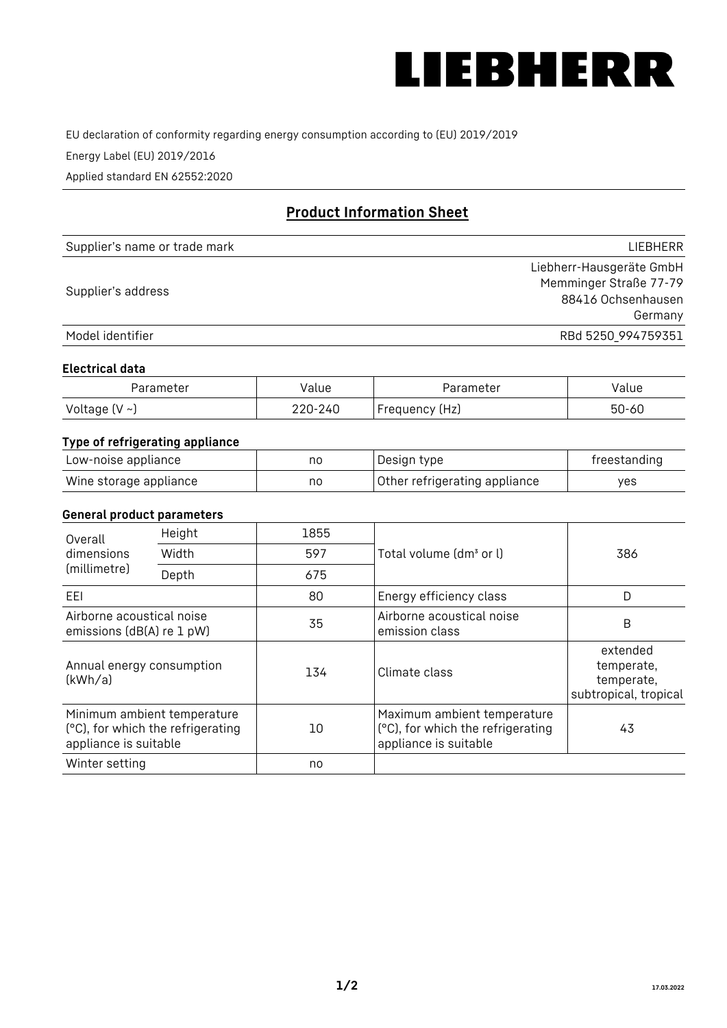

EU declaration of conformity regarding energy consumption according to (EU) 2019/2019

Energy Label (EU) 2019/2016

Applied standard EN 62552:2020

# **Product Information Sheet**

| Supplier's name or trade mark | <b>LIFBHFRR</b>          |
|-------------------------------|--------------------------|
|                               | Liebherr-Hausgeräte GmbH |
| Supplier's address            | Memminger Straße 77-79   |
|                               | 88416 Ochsenhausen       |
|                               | Germany                  |
| Model identifier              | RBd 5250 994759351       |

## **Electrical data**

| Parameter           | Value   | Parameter      | alue/     |
|---------------------|---------|----------------|-----------|
| Voltage (V $\sim$ ) | 220-240 | Frequency (Hz) | $50 - 60$ |

# **Type of refrigerating appliance**

| Low-noise appliance    | nc | Design type                   | freestanding |
|------------------------|----|-------------------------------|--------------|
| Wine storage appliance | nc | Other refrigerating appliance | ves          |

## **General product parameters**

| Height<br>Overall                                      |                                                                  | 1855 |                                                                                           |                                                               |
|--------------------------------------------------------|------------------------------------------------------------------|------|-------------------------------------------------------------------------------------------|---------------------------------------------------------------|
| dimensions<br>(millimetre)                             | Width                                                            | 597  | Total volume (dm <sup>3</sup> or l)                                                       | 386                                                           |
|                                                        | Depth                                                            | 675  |                                                                                           |                                                               |
| EEL                                                    |                                                                  | 80   | Energy efficiency class                                                                   | D                                                             |
| Airborne acoustical noise<br>emissions (dB(A) re 1 pW) |                                                                  | 35   | Airborne acoustical noise<br>emission class                                               | B                                                             |
| Annual energy consumption<br>(kWh/a)                   |                                                                  | 134  | Climate class                                                                             | extended<br>temperate,<br>temperate,<br>subtropical, tropical |
| appliance is suitable                                  | Minimum ambient temperature<br>(°C), for which the refrigerating | 10   | Maximum ambient temperature<br>(°C), for which the refrigerating<br>appliance is suitable | 43                                                            |
| Winter setting                                         |                                                                  | no   |                                                                                           |                                                               |